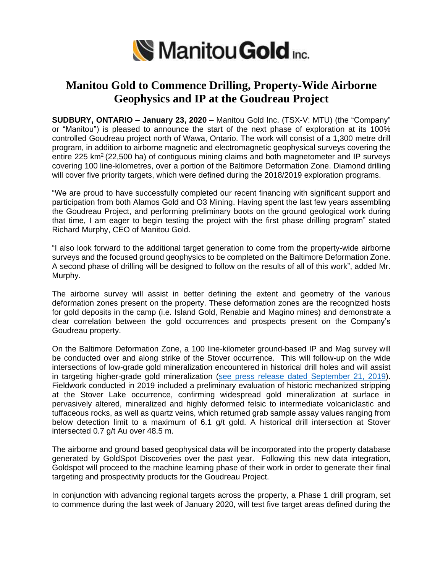

## **Manitou Gold to Commence Drilling, Property-Wide Airborne Geophysics and IP at the Goudreau Project**

**SUDBURY, ONTARIO – January 23, 2020** – Manitou Gold Inc. (TSX-V: MTU) (the "Company" or "Manitou") is pleased to announce the start of the next phase of exploration at its 100% controlled Goudreau project north of Wawa, Ontario. The work will consist of a 1,300 metre drill program, in addition to airborne magnetic and electromagnetic geophysical surveys covering the entire 225 km<sup>2</sup> (22,500 ha) of contiguous mining claims and both magnetometer and IP surveys covering 100 line-kilometres, over a portion of the Baltimore Deformation Zone. Diamond drilling will cover five priority targets, which were defined during the 2018/2019 exploration programs.

"We are proud to have successfully completed our recent financing with significant support and participation from both Alamos Gold and O3 Mining. Having spent the last few years assembling the Goudreau Project, and performing preliminary boots on the ground geological work during that time, I am eager to begin testing the project with the first phase drilling program" stated Richard Murphy, CEO of Manitou Gold.

"I also look forward to the additional target generation to come from the property-wide airborne surveys and the focused ground geophysics to be completed on the Baltimore Deformation Zone. A second phase of drilling will be designed to follow on the results of all of this work", added Mr. Murphy.

The airborne survey will assist in better defining the extent and geometry of the various deformation zones present on the property. These deformation zones are the recognized hosts for gold deposits in the camp (i.e. Island Gold, Renabie and Magino mines) and demonstrate a clear correlation between the gold occurrences and prospects present on the Company's Goudreau property.

On the Baltimore Deformation Zone, a 100 line-kilometer ground-based IP and Mag survey will be conducted over and along strike of the Stover occurrence. This will follow-up on the wide intersections of low-grade gold mineralization encountered in historical drill holes and will assist in targeting higher-grade gold mineralization (see press release dated [September](https://www.manitougold.com/_resources/news/nr-20190923.pdf) 21, 2019). Fieldwork conducted in 2019 included a preliminary evaluation of historic mechanized stripping at the Stover Lake occurrence, confirming widespread gold mineralization at surface in pervasively altered, mineralized and highly deformed felsic to intermediate volcaniclastic and tuffaceous rocks, as well as quartz veins, which returned grab sample assay values ranging from below detection limit to a maximum of 6.1 g/t gold. A historical drill intersection at Stover intersected 0.7 g/t Au over 48.5 m.

The airborne and ground based geophysical data will be incorporated into the property database generated by GoldSpot Discoveries over the past year. Following this new data integration, Goldspot will proceed to the machine learning phase of their work in order to generate their final targeting and prospectivity products for the Goudreau Project.

In conjunction with advancing regional targets across the property, a Phase 1 drill program, set to commence during the last week of January 2020, will test five target areas defined during the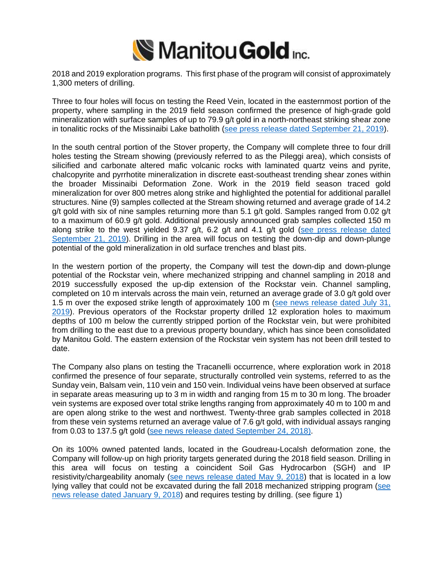

2018 and 2019 exploration programs. This first phase of the program will consist of approximately 1,300 meters of drilling.

Three to four holes will focus on testing the Reed Vein, located in the easternmost portion of the property, where sampling in the 2019 field season confirmed the presence of high-grade gold mineralization with surface samples of up to 79.9 g/t gold in a north-northeast striking shear zone in tonalitic rocks of the Missinaibi Lake batholith (see press release dated [September](https://www.manitougold.com/_resources/news/nr-20190923.pdf) 21, 2019).

In the south central portion of the Stover property, the Company will complete three to four drill holes testing the Stream showing (previously referred to as the Pileggi area), which consists of silicified and carbonate altered mafic volcanic rocks with laminated quartz veins and pyrite, chalcopyrite and pyrrhotite mineralization in discrete east-southeast trending shear zones within the broader Missinaibi Deformation Zone. Work in the 2019 field season traced gold mineralization for over 800 metres along strike and highlighted the potential for additional parallel structures. Nine (9) samples collected at the Stream showing returned and average grade of 14.2 g/t gold with six of nine samples returning more than 5.1 g/t gold. Samples ranged from 0.02 g/t to a maximum of 60.9 g/t gold. Additional previously announced grab samples collected 150 m along strike to the west yielded 9.37 g/t, 6.2 g/t and 4.1 g/t gold (see press [release](https://www.manitougold.com/_resources/news/nr-20190923.pdf) dated [September](https://www.manitougold.com/_resources/news/nr-20190923.pdf) 21, 2019). Drilling in the area will focus on testing the down-dip and down-plunge potential of the gold mineralization in old surface trenches and blast pits.

In the western portion of the property, the Company will test the down-dip and down-plunge potential of the Rockstar vein, where mechanized stripping and channel sampling in 2018 and 2019 successfully exposed the up-dip extension of the Rockstar vein. Channel sampling, completed on 10 m intervals across the main vein, returned an average grade of 3.0 g/t gold over 1.5 m over the exposed strike length of approximately 100 m (see news [release](https://www.manitougold.com/_resources/news/nr-20190731.pdf) dated July 31, [2019\)](https://www.manitougold.com/_resources/news/nr-20190731.pdf). Previous operators of the Rockstar property drilled 12 exploration holes to maximum depths of 100 m below the currently stripped portion of the Rockstar vein, but were prohibited from drilling to the east due to a previous property boundary, which has since been consolidated by Manitou Gold. The eastern extension of the Rockstar vein system has not been drill tested to date.

The Company also plans on testing the Tracanelli occurrence, where exploration work in 2018 confirmed the presence of four separate, structurally controlled vein systems, referred to as the Sunday vein, Balsam vein, 110 vein and 150 vein. Individual veins have been observed at surface in separate areas measuring up to 3 m in width and ranging from 15 m to 30 m long. The broader vein systems are exposed over total strike lengths ranging from approximately 40 m to 100 m and are open along strike to the west and northwest. Twenty-three grab samples collected in 2018 from these vein systems returned an average value of 7.6 g/t gold, with individual assays ranging from 0.03 to 137.5 g/t gold (see news release dated [September](https://www.manitougold.com/news/news-releases/manitou-gold-provides-exploration-update-for-its-rockstar-property-in-the-goudreau-belt) 24, 2018).

On its 100% owned patented lands, located in the Goudreau-Localsh deformation zone, the Company will follow-up on high priority targets generated during the 2018 field season. Drilling in this area will focus on testing a coincident Soil Gas Hydrocarbon (SGH) and IP resistivity/chargeability anomaly (see news [release](https://manitougold.com/news/news-releases/manitou-gold-commences-field-exploration-at-its--goudreau-properties) dated May 9, 2018) that is located in a low lying valley that could not be excavated during the fall 2018 mechanized stripping program [\(see](https://manitougold.com/_resources/news/nr-20190108.pdf) news release dated [January](https://manitougold.com/_resources/news/nr-20190108.pdf) 9, 2018) and requires testing by drilling. (see figure 1)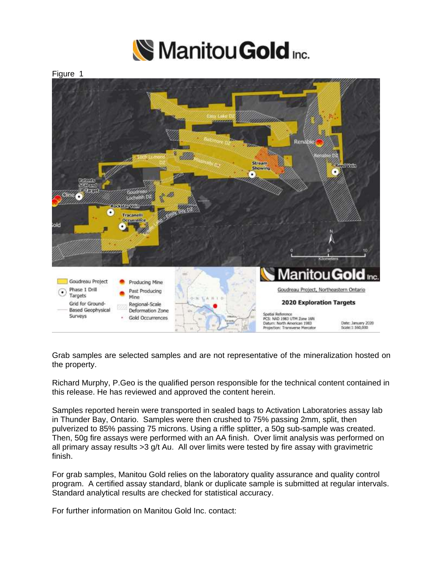

Figure 1



Grab samples are selected samples and are not representative of the mineralization hosted on the property.

Richard Murphy, P.Geo is the qualified person responsible for the technical content contained in this release. He has reviewed and approved the content herein.

Samples reported herein were transported in sealed bags to Activation Laboratories assay lab in Thunder Bay, Ontario. Samples were then crushed to 75% passing 2mm, split, then pulverized to 85% passing 75 microns. Using a riffle splitter, a 50g sub-sample was created. Then, 50g fire assays were performed with an AA finish. Over limit analysis was performed on all primary assay results  $>3$  g/t Au. All over limits were tested by fire assay with gravimetric finish.

For grab samples, Manitou Gold relies on the laboratory quality assurance and quality control program. A certified assay standard, blank or duplicate sample is submitted at regular intervals. Standard analytical results are checked for statistical accuracy.

For further information on Manitou Gold Inc. contact: